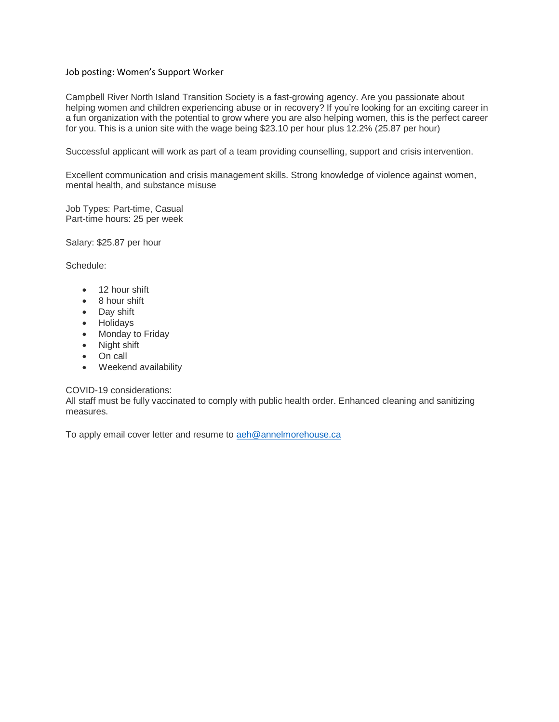#### Job posting: Women's Support Worker

Campbell River North Island Transition Society is a fast-growing agency. Are you passionate about helping women and children experiencing abuse or in recovery? If you're looking for an exciting career in a fun organization with the potential to grow where you are also helping women, this is the perfect career for you. This is a union site with the wage being \$23.10 per hour plus 12.2% (25.87 per hour)

Successful applicant will work as part of a team providing counselling, support and crisis intervention.

Excellent communication and crisis management skills. Strong knowledge of violence against women, mental health, and substance misuse

Job Types: Part-time, Casual Part-time hours: 25 per week

Salary: \$25.87 per hour

Schedule:

- 12 hour shift
- 8 hour shift
- Day shift
- Holidays
- Monday to Friday
- Night shift
- On call
- Weekend availability

#### COVID-19 considerations:

All staff must be fully vaccinated to comply with public health order. Enhanced cleaning and sanitizing measures.

To apply email cover letter and resume t[o aeh@annelmorehouse.ca](mailto:aeh@annelmorehouse.ca)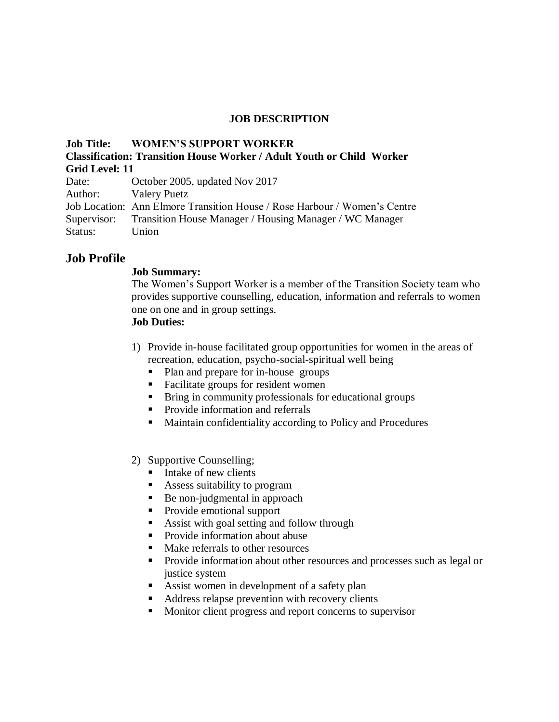#### **JOB DESCRIPTION**

| <b>Job Title: WOMEN'S SUPPORT WORKER</b>                                  |  |
|---------------------------------------------------------------------------|--|
| Classification: Transition House Worker / Adult Youth or Child Worker     |  |
| Grid Level: 11                                                            |  |
| Date: October 2005, updated Nov 2017                                      |  |
| Author: Valery Puetz                                                      |  |
| Job Location: Ann Elmore Transition House / Rose Harbour / Women's Centre |  |
| Supervisor: Transition House Manager / Housing Manager / WC Manager       |  |
| Status: Union                                                             |  |
|                                                                           |  |

### **Job Profile**

#### **Job Summary:**

The Women's Support Worker is a member of the Transition Society team who provides supportive counselling, education, information and referrals to women one on one and in group settings.

# **Job Duties:**

- 1) Provide in-house facilitated group opportunities for women in the areas of recreation, education, psycho-social-spiritual well being
	- Plan and prepare for in-house groups
	- Facilitate groups for resident women
	- Bring in community professionals for educational groups
	- **Provide information and referrals**
	- Maintain confidentiality according to Policy and Procedures

### 2) Supportive Counselling;

- Intake of new clients
- Assess suitability to program
- Be non-judgmental in approach
- Provide emotional support
- Assist with goal setting and follow through
- Provide information about abuse
- Make referrals to other resources
- **Provide information about other resources and processes such as legal or** justice system
- Assist women in development of a safety plan
- Address relapse prevention with recovery clients
- **Monitor client progress and report concerns to supervisor**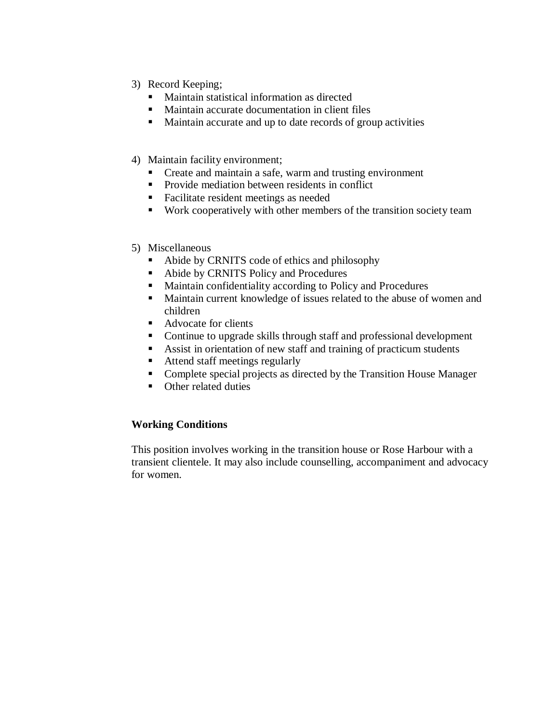- 3) Record Keeping;
	- Maintain statistical information as directed
	- Maintain accurate documentation in client files
	- Maintain accurate and up to date records of group activities
- 4) Maintain facility environment;
	- Create and maintain a safe, warm and trusting environment
	- Provide mediation between residents in conflict
	- Facilitate resident meetings as needed
	- Work cooperatively with other members of the transition society team
- 5) Miscellaneous
	- Abide by CRNITS code of ethics and philosophy
	- Abide by CRNITS Policy and Procedures
	- Maintain confidentiality according to Policy and Procedures
	- Maintain current knowledge of issues related to the abuse of women and children
	- Advocate for clients
	- Continue to upgrade skills through staff and professional development
	- Assist in orientation of new staff and training of practicum students
	- Attend staff meetings regularly
	- Complete special projects as directed by the Transition House Manager
	- Other related duties

### **Working Conditions**

This position involves working in the transition house or Rose Harbour with a transient clientele. It may also include counselling, accompaniment and advocacy for women.